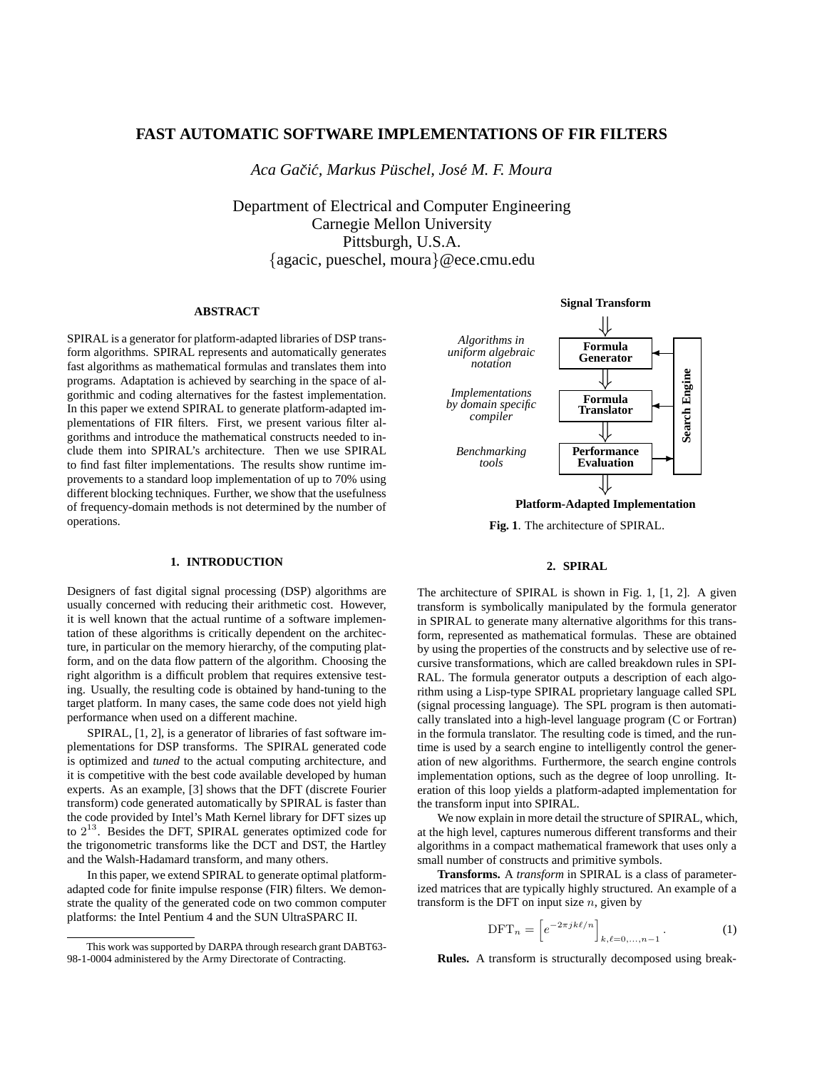# **FAST AUTOMATIC SOFTWARE IMPLEMENTATIONS OF FIR FILTERS**

*Aca Gaciˇ c,´ Markus Pusc ¨ hel, Jose´ M. F. Moura*

Department of Electrical and Computer Engineering Carnegie Mellon University Pittsburgh, U.S.A. {agacic, pueschel, moura}@ece.cmu.edu

# **ABSTRACT**

SPIRAL is a generator for platform-adapted libraries of DSP transform algorithms. SPIRAL represents and automatically generates fast algorithms as mathematical formulas and translates them into programs. Adaptation is achieved by searching in the space of algorithmic and coding alternatives for the fastest implementation. In this paper we extend SPIRAL to generate platform-adapted implementations of FIR filters. First, we present various filter algorithms and introduce the mathematical constructs needed to include them into SPIRAL's architecture. Then we use SPIRAL to find fast filter implementations. The results show runtime improvements to a standard loop implementation of up to 70% using different blocking techniques. Further, we show that the usefulness of frequency-domain methods is not determined by the number of operations.

# **1. INTRODUCTION**

Designers of fast digital signal processing (DSP) algorithms are usually concerned with reducing their arithmetic cost. However, it is well known that the actual runtime of a software implementation of these algorithms is critically dependent on the architecture, in particular on the memory hierarchy, of the computing platform, and on the data flow pattern of the algorithm. Choosing the right algorithm is a difficult problem that requires extensive testing. Usually, the resulting code is obtained by hand-tuning to the target platform. In many cases, the same code does not yield high performance when used on a different machine.

SPIRAL, [1, 2], is a generator of libraries of fast software implementations for DSP transforms. The SPIRAL generated code is optimized and *tuned* to the actual computing architecture, and it is competitive with the best code available developed by human experts. As an example, [3] shows that the DFT (discrete Fourier transform) code generated automatically by SPIRAL is faster than the code provided by Intel's Math Kernel library for DFT sizes up to  $2^{13}$ . Besides the DFT, SPIRAL generates optimized code for the trigonometric transforms like the DCT and DST, the Hartley and the Walsh-Hadamard transform, and many others.

In this paper, we extend SPIRAL to generate optimal platformadapted code for finite impulse response (FIR) filters. We demonstrate the quality of the generated code on two common computer platforms: the Intel Pentium 4 and the SUN UltraSPARC II.



**Platform-Adapted Implementation**

**Fig. 1**. The architecture of SPIRAL.

#### **2. SPIRAL**

The architecture of SPIRAL is shown in Fig. 1, [1, 2]. A given transform is symbolically manipulated by the formula generator in SPIRAL to generate many alternative algorithms for this transform, represented as mathematical formulas. These are obtained by using the properties of the constructs and by selective use of recursive transformations, which are called breakdown rules in SPI-RAL. The formula generator outputs a description of each algorithm using a Lisp-type SPIRAL proprietary language called SPL (signal processing language). The SPL program is then automatically translated into a high-level language program (C or Fortran) in the formula translator. The resulting code is timed, and the runtime is used by a search engine to intelligently control the generation of new algorithms. Furthermore, the search engine controls implementation options, such as the degree of loop unrolling. Iteration of this loop yields a platform-adapted implementation for the transform input into SPIRAL.

We now explain in more detail the structure of SPIRAL, which, at the high level, captures numerous different transforms and their algorithms in a compact mathematical framework that uses only a small number of constructs and primitive symbols.

**Transforms.** A *transform* in SPIRAL is a class of parameterized matrices that are typically highly structured. An example of a transform is the DFT on input size  $n$ , given by

$$
\text{DFT}_n = \left[ e^{-2\pi jk\ell/n} \right]_{k,\ell=0,\ldots,n-1}.
$$
 (1)

**Rules.** A transform is structurally decomposed using break-

This work was supported by DARPA through research grant DABT63- 98-1-0004 administered by the Army Directorate of Contracting.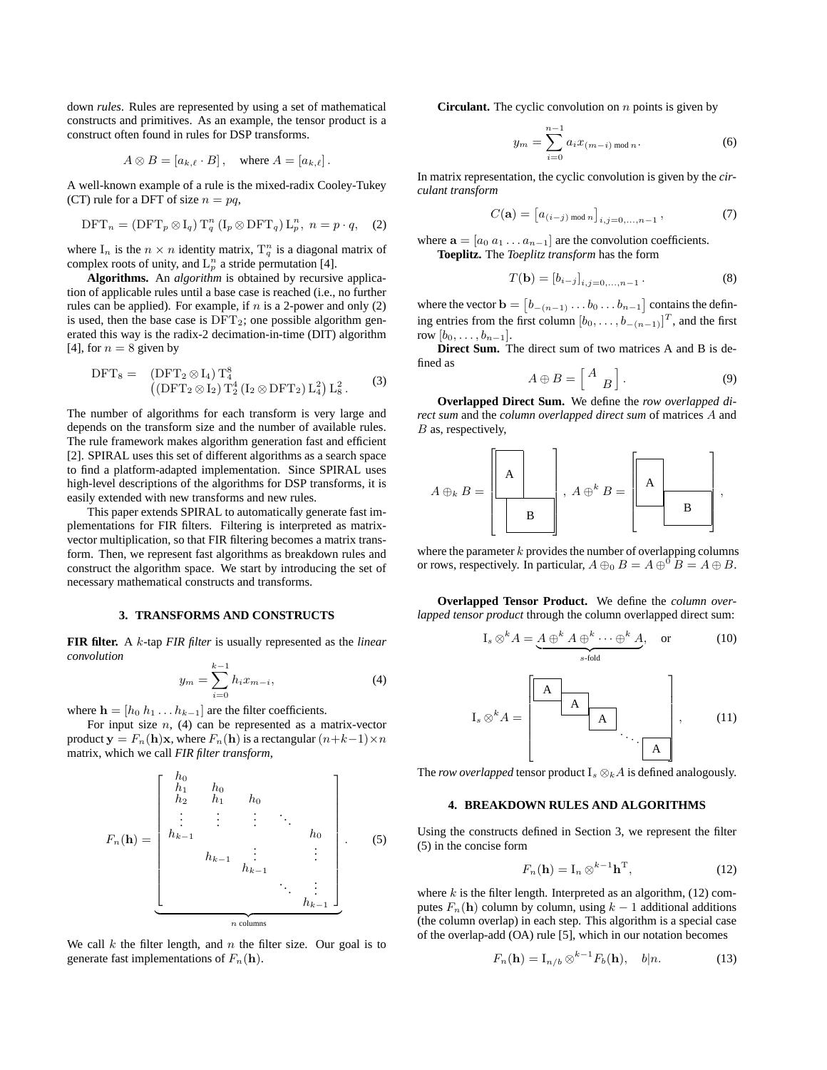down *rules*. Rules are represented by using a set of mathematical constructs and primitives. As an example, the tensor product is a construct often found in rules for DSP transforms.

$$
A \otimes B = [a_{k,\ell} \cdot B], \quad \text{where } A = [a_{k,\ell}].
$$

A well-known example of a rule is the mixed-radix Cooley-Tukey (CT) rule for a DFT of size  $n = pq$ ,

$$
\text{DFT}_n = (\text{DFT}_p \otimes I_q) T_q^n (I_p \otimes \text{DFT}_q) L_p^n, \ n = p \cdot q, \quad (2)
$$

where  $I_n$  is the  $n \times n$  identity matrix,  $T_q^n$  is a diagonal matrix of complex roots of unity, and  $L_p^n$  a stride permutation [4].

**Algorithms.** An *algorithm* is obtained by recursive application of applicable rules until a base case is reached (i.e., no further rules can be applied). For example, if  $n$  is a 2-power and only (2) is used, then the base case is  $DFT_2$ ; one possible algorithm generated this way is the radix-2 decimation-in-time (DIT) algorithm [4], for  $n = 8$  given by

$$
DFT_8 = (DFT_2 \otimes I_4) T_4^8
$$
  

$$
((DFT_2 \otimes I_2) T_2^4 (I_2 \otimes DFT_2) L_4^2) L_8^2.
$$
 (3)

The number of algorithms for each transform is very large and depends on the transform size and the number of available rules. The rule framework makes algorithm generation fast and efficient [2]. SPIRAL uses this set of different algorithms as a search space to find a platform-adapted implementation. Since SPIRAL uses high-level descriptions of the algorithms for DSP transforms, it is easily extended with new transforms and new rules.

This paper extends SPIRAL to automatically generate fast implementations for FIR filters. Filtering is interpreted as matrixvector multiplication, so that FIR filtering becomes a matrix transform. Then, we represent fast algorithms as breakdown rules and construct the algorithm space. We start by introducing the set of necessary mathematical constructs and transforms.

### **3. TRANSFORMS AND CONSTRUCTS**

**FIR filter.** A k-tap *FIR filter* is usually represented as the *linear convolution*

$$
y_m = \sum_{i=0}^{k-1} h_i x_{m-i},
$$
 (4)

where  $\mathbf{h} = [h_0 \ h_1 \dots h_{k-1}]$  are the filter coefficients.

For input size  $n$ , (4) can be represented as a matrix-vector product  $y = F_n(h)x$ , where  $F_n(h)$  is a rectangular  $(n+k-1)\times n$ matrix, which we call *FIR filter transform*,

$$
F_n(\mathbf{h}) = \begin{bmatrix} h_0 & & & & & & \\ h_1 & h_0 & & & & & \\ h_2 & h_1 & h_0 & & & & \\ \vdots & \vdots & \vdots & \ddots & \vdots & & \\ h_{k-1} & & & & & h_0 & \\ & & & & & & h_0 & \\ & & & & & & & \vdots \\ & & & & & & & \vdots \\ & & & & & & & & h_{k-1} \end{bmatrix} . \tag{5}
$$

We call  $k$  the filter length, and  $n$  the filter size. Our goal is to generate fast implementations of  $F_n(\mathbf{h})$ .

**Circulant.** The cyclic convolution on  $n$  points is given by

$$
y_m = \sum_{i=0}^{n-1} a_i x_{(m-i) \bmod n}.
$$
 (6)

In matrix representation, the cyclic convolution is given by the *circulant transform*

$$
C(\mathbf{a}) = [a_{(i-j) \bmod n}]_{i,j=0,...,n-1},
$$
\n(7)

where  $\mathbf{a} = [a_0 \ a_1 \dots a_{n-1}]$  are the convolution coefficients.

**Toeplitz.** The *Toeplitz transform* has the form

$$
T(\mathbf{b}) = [b_{i-j}]_{i,j=0,...,n-1} . \tag{8}
$$

where the vector  $\mathbf{b} = \begin{bmatrix} b_{-(n-1)} & b_0 & \cdots & b_{n-1} \end{bmatrix}$  contains the defining entries from the first column  $[b_0, \ldots, b_{-(n-1)}]^T$ , and the first row  $[b_0, \ldots, b_{n-1}].$ 

**Direct Sum.** The direct sum of two matrices A and B is defined as

$$
A \oplus B = \begin{bmatrix} A \\ B \end{bmatrix}.
$$
 (9)

**Overlapped Direct Sum.** We define the *row overlapped direct sum* and the *column overlapped direct sum* of matrices A and B as, respectively,



where the parameter  $k$  provides the number of overlapping columns or rows, respectively. In particular,  $A \oplus_0 B = A \oplus^0 B = A \oplus B$ .

**Overlapped Tensor Product.** We define the *column overlapped tensor product* through the column overlapped direct sum:

$$
I_s \otimes^k A = \underbrace{A \oplus^k A \oplus^k \cdots \oplus^k A}_{s \text{-fold}}, \quad \text{or} \quad (10)
$$

$$
I_s \otimes^k A = \begin{bmatrix} A & & & \\ & A & & \\ & & A & \\ & & & \ddots \\ & & & & A \end{bmatrix}, \qquad (11)
$$

The *row overlapped* tensor product  $I_s \otimes_k A$  is defined analogously.

#### **4. BREAKDOWN RULES AND ALGORITHMS**

Using the constructs defined in Section 3, we represent the filter (5) in the concise form

$$
F_n(\mathbf{h}) = \mathbf{I}_n \otimes^{k-1} \mathbf{h}^{\mathrm{T}},\tag{12}
$$

where  $k$  is the filter length. Interpreted as an algorithm,  $(12)$  computes  $F_n(\mathbf{h})$  column by column, using  $k-1$  additional additions (the column overlap) in each step. This algorithm is a special case of the overlap-add (OA) rule [5], which in our notation becomes

$$
F_n(\mathbf{h}) = I_{n/b} \otimes^{k-1} F_b(\mathbf{h}), \quad b|n. \tag{13}
$$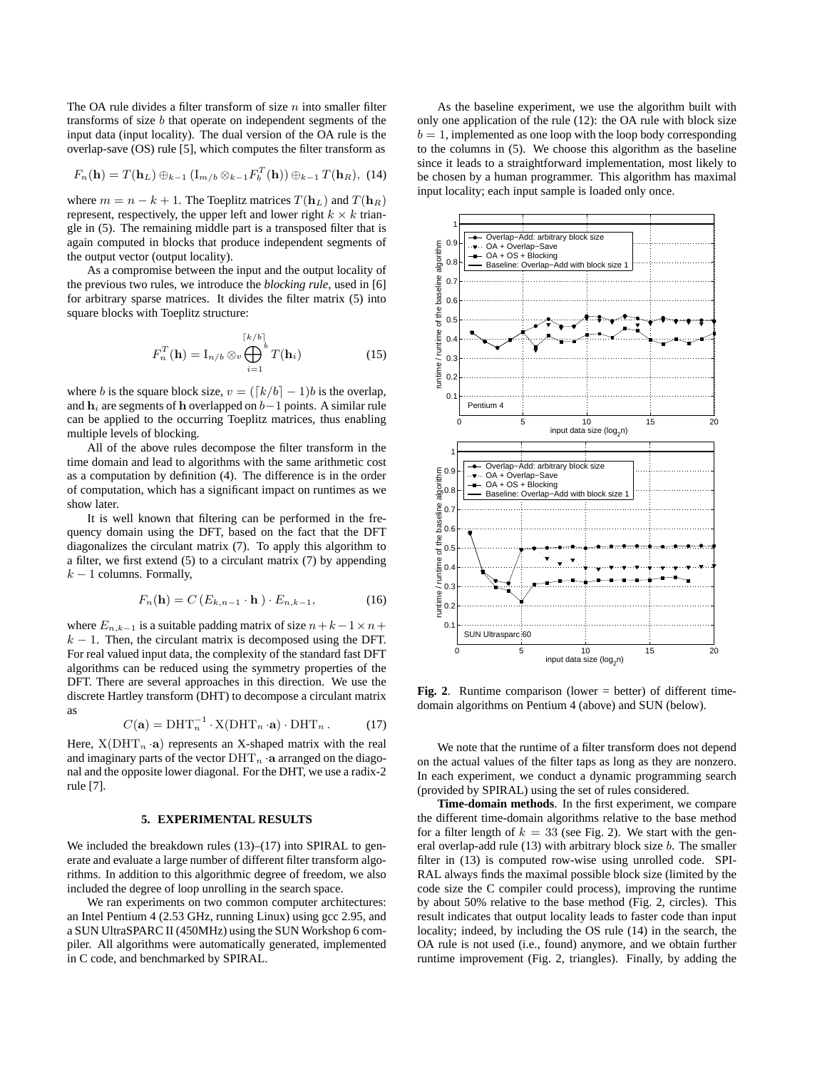The OA rule divides a filter transform of size  $n$  into smaller filter transforms of size b that operate on independent segments of the input data (input locality). The dual version of the OA rule is the overlap-save (OS) rule [5], which computes the filter transform as

$$
F_n(\mathbf{h}) = T(\mathbf{h}_L) \oplus_{k-1} (I_{m/b} \otimes_{k-1} F_b^T(\mathbf{h})) \oplus_{k-1} T(\mathbf{h}_R), \tag{14}
$$

where  $m = n - k + 1$ . The Toeplitz matrices  $T(\mathbf{h}_L)$  and  $T(\mathbf{h}_R)$ represent, respectively, the upper left and lower right  $k \times k$  triangle in (5). The remaining middle part is a transposed filter that is again computed in blocks that produce independent segments of the output vector (output locality).

As a compromise between the input and the output locality of the previous two rules, we introduce the *blocking rule*, used in [6] for arbitrary sparse matrices. It divides the filter matrix (5) into square blocks with Toeplitz structure:

$$
F_n^T(\mathbf{h}) = \mathbf{I}_{n/b} \otimes_v \bigoplus_{i=1}^{\lceil k/b \rceil} T(\mathbf{h}_i)
$$
 (15)

where b is the square block size,  $v = (\lceil k/b \rceil - 1)b$  is the overlap, and  $h_i$  are segments of h overlapped on  $b-1$  points. A similar rule can be applied to the occurring Toeplitz matrices, thus enabling multiple levels of blocking.

All of the above rules decompose the filter transform in the time domain and lead to algorithms with the same arithmetic cost as a computation by definition (4). The difference is in the order of computation, which has a significant impact on runtimes as we show later.

It is well known that filtering can be performed in the frequency domain using the DFT, based on the fact that the DFT diagonalizes the circulant matrix (7). To apply this algorithm to a filter, we first extend (5) to a circulant matrix (7) by appending  $k-1$  columns. Formally,

$$
F_n(\mathbf{h}) = C\left(E_{k,n-1} \cdot \mathbf{h}\right) \cdot E_{n,k-1},\tag{16}
$$

where  $E_{n,k-1}$  is a suitable padding matrix of size  $n+k-1\times n+1$  $k - 1$ . Then, the circulant matrix is decomposed using the DFT. For real valued input data, the complexity of the standard fast DFT algorithms can be reduced using the symmetry properties of the DFT. There are several approaches in this direction. We use the discrete Hartley transform (DHT) to decompose a circulant matrix as

$$
C(\mathbf{a}) = \text{DHT}_n^{-1} \cdot \text{X}(\text{DHT}_n \cdot \mathbf{a}) \cdot \text{DHT}_n. \tag{17}
$$

Here,  $X(DHT_n \cdot a)$  represents an X-shaped matrix with the real and imaginary parts of the vector  $\text{DHT}_n \cdot \textbf{a}$  arranged on the diagonal and the opposite lower diagonal. For the DHT, we use a radix-2 rule [7].

#### **5. EXPERIMENTAL RESULTS**

We included the breakdown rules (13)–(17) into SPIRAL to generate and evaluate a large number of different filter transform algorithms. In addition to this algorithmic degree of freedom, we also included the degree of loop unrolling in the search space.

We ran experiments on two common computer architectures: an Intel Pentium 4 (2.53 GHz, running Linux) using gcc 2.95, and a SUN UltraSPARC II (450MHz) using the SUN Workshop 6 compiler. All algorithms were automatically generated, implemented in C code, and benchmarked by SPIRAL.

As the baseline experiment, we use the algorithm built with only one application of the rule (12): the OA rule with block size  $b = 1$ , implemented as one loop with the loop body corresponding to the columns in (5). We choose this algorithm as the baseline since it leads to a straightforward implementation, most likely to be chosen by a human programmer. This algorithm has maximal input locality; each input sample is loaded only once.



**Fig. 2**. Runtime comparison (lower = better) of different timedomain algorithms on Pentium 4 (above) and SUN (below).

We note that the runtime of a filter transform does not depend on the actual values of the filter taps as long as they are nonzero. In each experiment, we conduct a dynamic programming search (provided by SPIRAL) using the set of rules considered.

**Time-domain methods**. In the first experiment, we compare the different time-domain algorithms relative to the base method for a filter length of  $k = 33$  (see Fig. 2). We start with the general overlap-add rule (13) with arbitrary block size b. The smaller filter in (13) is computed row-wise using unrolled code. SPI-RAL always finds the maximal possible block size (limited by the code size the C compiler could process), improving the runtime by about 50% relative to the base method (Fig. 2, circles). This result indicates that output locality leads to faster code than input locality; indeed, by including the OS rule (14) in the search, the OA rule is not used (i.e., found) anymore, and we obtain further runtime improvement (Fig. 2, triangles). Finally, by adding the